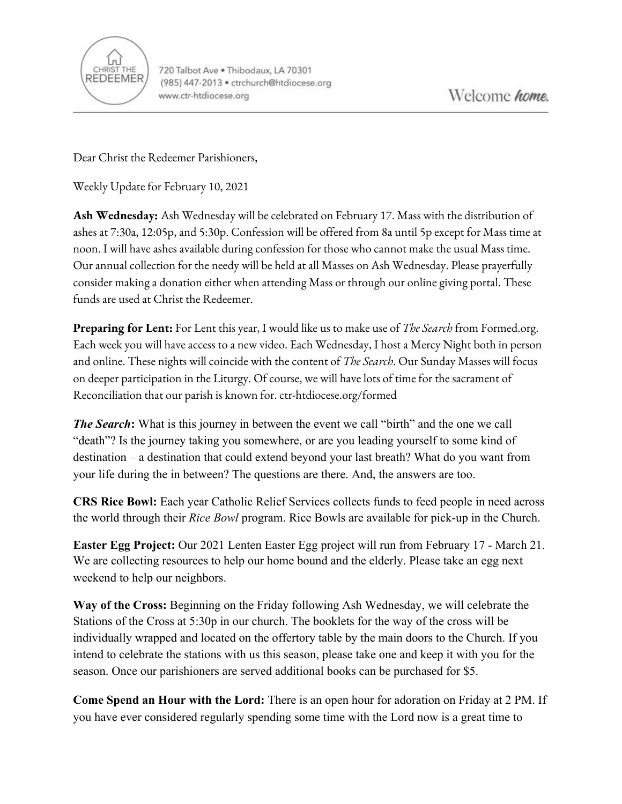

720 Talbot Ave . Thibodaux, LA 70301 (985) 447-2013 · ctrchurch@htdiocese.org www.ctr-htdiocese.org

Dear Christ the Redeemer Parishioners,

Weekly Update for February 10, 2021

**Ash Wednesday:** Ash Wednesday will be celebrated on February 17. Mass with the distribution of ashes at 7:30a, 12:05p, and 5:30p. Confession will be offered from 8a until 5p except for Mass time at noon. I will have ashes available during confession for those who cannot make the usual Mass time. Our annual collection for the needy will be held at all Masses on Ash Wednesday. Please prayerfully consider making a donation either when attending Mass or through our online giving portal. These funds are used at Christ the Redeemer.

**Preparing for Lent:** For Lent this year, I would like us to make use of *The Search* from Formed.org. Each week you will have access to a new video. Each Wednesday, I host a Mercy Night both in person and online. These nights will coincide with the content of *The Search*. Our Sunday Masses will focus on deeper participation in the Liturgy. Of course, we will have lots of time for the sacrament of Reconciliation that our parish is known for. ctr-htdiocese.org/formed

*The Search*: What is this journey in between the event we call "birth" and the one we call "death"? Is the journey taking you somewhere, or are you leading yourself to some kind of destination – a destination that could extend beyond your last breath? What do you want from your life during the in between? The questions are there. And, the answers are too.

**CRS Rice Bowl:** Each year Catholic Relief Services collects funds to feed people in need across the world through their *Rice Bowl* program. Rice Bowls are available for pick-up in the Church.

**Easter Egg Project:** Our 2021 Lenten Easter Egg project will run from February 17 - March 21. We are collecting resources to help our home bound and the elderly. Please take an egg next weekend to help our neighbors.

**Way of the Cross:** Beginning on the Friday following Ash Wednesday, we will celebrate the Stations of the Cross at 5:30p in our church. The booklets for the way of the cross will be individually wrapped and located on the offertory table by the main doors to the Church. If you intend to celebrate the stations with us this season, please take one and keep it with you for the season. Once our parishioners are served additional books can be purchased for \$5.

**Come Spend an Hour with the Lord:** There is an open hour for adoration on Friday at 2 PM. If you have ever considered regularly spending some time with the Lord now is a great time to